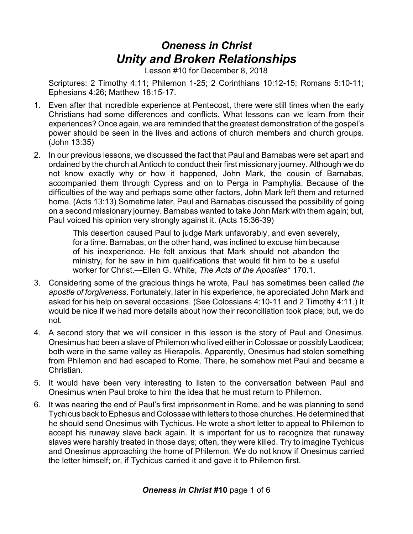# *Oneness in Christ Unity and Broken Relationships*

Lesson #10 for December 8, 2018

Scriptures: 2 Timothy 4:11; Philemon 1-25; 2 Corinthians 10:12-15; Romans 5:10-11; Ephesians 4:26; Matthew 18:15-17.

- 1. Even after that incredible experience at Pentecost, there were still times when the early Christians had some differences and conflicts. What lessons can we learn from their experiences? Once again, we are reminded that the greatest demonstration of the gospel's power should be seen in the lives and actions of church members and church groups. (John 13:35)
- 2. In our previous lessons, we discussed the fact that Paul and Barnabas were set apart and ordained by the church at Antioch to conduct their first missionary journey. Although we do not know exactly why or how it happened, John Mark, the cousin of Barnabas, accompanied them through Cypress and on to Perga in Pamphylia. Because of the difficulties of the way and perhaps some other factors, John Mark left them and returned home. (Acts 13:13) Sometime later, Paul and Barnabas discussed the possibility of going on a second missionary journey. Barnabas wanted to take John Mark with them again; but, Paul voiced his opinion very strongly against it. (Acts 15:36-39)

This desertion caused Paul to judge Mark unfavorably, and even severely, for a time. Barnabas, on the other hand, was inclined to excuse him because of his inexperience. He felt anxious that Mark should not abandon the ministry, for he saw in him qualifications that would fit him to be a useful worker for Christ.—Ellen G. White, *The Acts of the Apostles*\* 170.1.

- 3. Considering some of the gracious things he wrote, Paul has sometimes been called *the apostle of forgiveness*. Fortunately, later in his experience, he appreciated John Mark and asked for his help on several occasions. (See Colossians 4:10-11 and 2 Timothy 4:11.) It would be nice if we had more details about how their reconciliation took place; but, we do not.
- 4. A second story that we will consider in this lesson is the story of Paul and Onesimus. Onesimus had been a slave of Philemon who lived either in Colossae or possibly Laodicea; both were in the same valley as Hierapolis. Apparently, Onesimus had stolen something from Philemon and had escaped to Rome. There, he somehow met Paul and became a Christian.
- 5. It would have been very interesting to listen to the conversation between Paul and Onesimus when Paul broke to him the idea that he must return to Philemon.
- 6. It was nearing the end of Paul's first imprisonment in Rome, and he was planning to send Tychicus back to Ephesus and Colossae with letters to those churches. He determined that he should send Onesimus with Tychicus. He wrote a short letter to appeal to Philemon to accept his runaway slave back again. It is important for us to recognize that runaway slaves were harshly treated in those days; often, they were killed. Try to imagine Tychicus and Onesimus approaching the home of Philemon. We do not know if Onesimus carried the letter himself; or, if Tychicus carried it and gave it to Philemon first.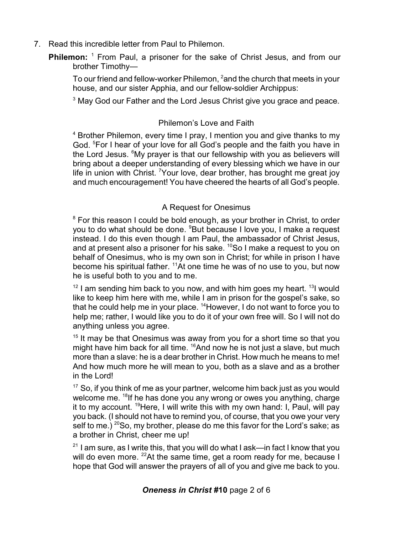- 7. Read this incredible letter from Paul to Philemon.
	- **Philemon:** <sup>1</sup> From Paul, a prisoner for the sake of Christ Jesus, and from our brother Timothy—

To our friend and fellow-worker Philemon, <sup>2</sup>and the church that meets in your house, and our sister Apphia, and our fellow-soldier Archippus:

 $3$  May God our Father and the Lord Jesus Christ give you grace and peace.

### Philemon's Love and Faith

<sup>4</sup> Brother Philemon, every time I pray, I mention you and give thanks to my God. <sup>5</sup>For I hear of your love for all God's people and the faith you have in the Lord Jesus. <sup>6</sup>My prayer is that our fellowship with you as believers will bring about a deeper understanding of every blessing which we have in our life in union with Christ. <sup>7</sup>Your love, dear brother, has brought me great joy and much encouragement! You have cheered the hearts of all God's people.

## A Request for Onesimus

 $8$  For this reason I could be bold enough, as your brother in Christ, to order you to do what should be done. <sup>9</sup>But because I love you, I make a request instead. I do this even though I am Paul, the ambassador of Christ Jesus, and at present also a prisoner for his sake.  $^{10}$ So I make a request to you on behalf of Onesimus, who is my own son in Christ; for while in prison I have become his spiritual father.  $11$ At one time he was of no use to you, but now he is useful both to you and to me.

 $12$  I am sending him back to you now, and with him goes my heart.  $13$ I would like to keep him here with me, while I am in prison for the gospel's sake, so that he could help me in your place.  $14$ However, I do not want to force you to help me; rather, I would like you to do it of your own free will. So I will not do anything unless you agree.

<sup>15</sup> It may be that Onesimus was away from you for a short time so that you might have him back for all time.  $16$ And now he is not just a slave, but much more than a slave: he is a dear brother in Christ. How much he means to me! And how much more he will mean to you, both as a slave and as a brother in the Lord!

<sup>17</sup> So, if you think of me as your partner, welcome him back just as you would welcome me. <sup>18</sup>lf he has done you any wrong or owes you anything, charge it to my account. <sup>19</sup>Here, I will write this with my own hand: I, Paul, will pay you back. (I should not have to remind you, of course, that you owe your very self to me.)  $^{20}$ So, my brother, please do me this favor for the Lord's sake; as a brother in Christ, cheer me up!

 $^{21}$  I am sure, as I write this, that you will do what I ask—in fact I know that you will do even more. <sup>22</sup>At the same time, get a room ready for me, because I hope that God will answer the prayers of all of you and give me back to you.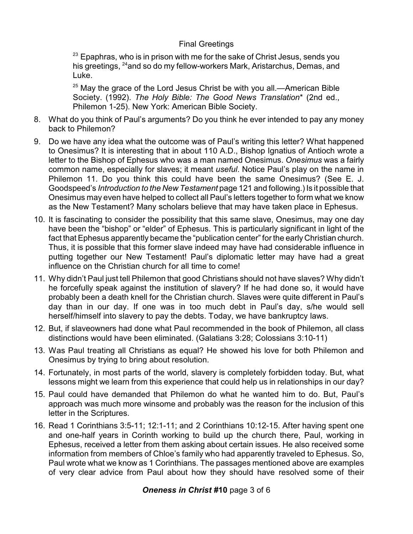#### Final Greetings

 $^{23}$  Epaphras, who is in prison with me for the sake of Christ Jesus, sends you his greetings, <sup>24</sup>and so do my fellow-workers Mark, Aristarchus, Demas, and Luke.

 $^{25}$  May the grace of the Lord Jesus Christ be with you all.—American Bible Society. (1992). *The Holy Bible: The Good News Translation*\* (2nd ed., Philemon 1-25). New York: American Bible Society*.*

- 8. What do you think of Paul's arguments? Do you think he ever intended to pay any money back to Philemon?
- 9. Do we have any idea what the outcome was of Paul's writing this letter? What happened to Onesimus? It is interesting that in about 110 A.D., Bishop Ignatius of Antioch wrote a letter to the Bishop of Ephesus who was a man named Onesimus. *Onesimus* was a fairly common name, especially for slaves; it meant *useful*. Notice Paul's play on the name in Philemon 11. Do you think this could have been the same Onesimus? (See E. J. Goodspeed's *Introduction to the New Testament* page 121 and following.) Is it possible that Onesimus may even have helped to collect all Paul's letters together to form what we know as the New Testament? Many scholars believe that may have taken place in Ephesus.
- 10. It is fascinating to consider the possibility that this same slave, Onesimus, may one day have been the "bishop" or "elder" of Ephesus. This is particularly significant in light of the fact that Ephesus apparently became the "publication center" for the early Christian church. Thus, it is possible that this former slave indeed may have had considerable influence in putting together our New Testament! Paul's diplomatic letter may have had a great influence on the Christian church for all time to come!
- 11. Why didn't Paul just tell Philemon that good Christians should not have slaves? Why didn't he forcefully speak against the institution of slavery? If he had done so, it would have probably been a death knell for the Christian church. Slaves were quite different in Paul's day than in our day. If one was in too much debt in Paul's day, s/he would sell herself/himself into slavery to pay the debts. Today, we have bankruptcy laws.
- 12. But, if slaveowners had done what Paul recommended in the book of Philemon, all class distinctions would have been eliminated. (Galatians 3:28; Colossians 3:10-11)
- 13. Was Paul treating all Christians as equal? He showed his love for both Philemon and Onesimus by trying to bring about resolution.
- 14. Fortunately, in most parts of the world, slavery is completely forbidden today. But, what lessons might we learn from this experience that could help us in relationships in our day?
- 15. Paul could have demanded that Philemon do what he wanted him to do. But, Paul's approach was much more winsome and probably was the reason for the inclusion of this letter in the Scriptures.
- 16. Read 1 Corinthians 3:5-11; 12:1-11; and 2 Corinthians 10:12-15. After having spent one and one-half years in Corinth working to build up the church there, Paul, working in Ephesus, received a letter from them asking about certain issues. He also received some information from members of Chloe's family who had apparently traveled to Ephesus. So, Paul wrote what we know as 1 Corinthians. The passages mentioned above are examples of very clear advice from Paul about how they should have resolved some of their

## *Oneness in Christ #***10** page 3 of 6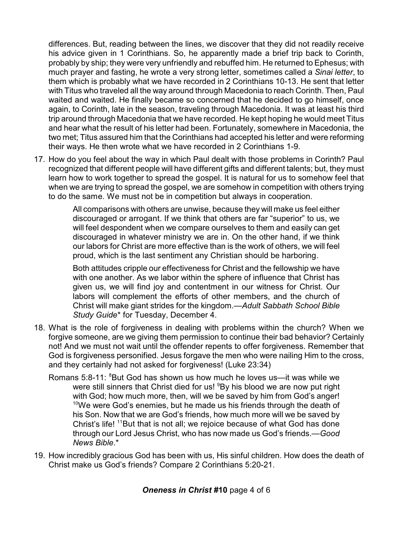differences. But, reading between the lines, we discover that they did not readily receive his advice given in 1 Corinthians. So, he apparently made a brief trip back to Corinth, probably by ship; they were very unfriendly and rebuffed him. He returned to Ephesus; with much prayer and fasting, he wrote a very strong letter, sometimes called a *Sinai letter*, to them which is probably what we have recorded in 2 Corinthians 10-13. He sent that letter with Titus who traveled all the way around through Macedonia to reach Corinth. Then, Paul waited and waited. He finally became so concerned that he decided to go himself, once again, to Corinth, late in the season, traveling through Macedonia. It was at least his third trip around through Macedonia that we have recorded. He kept hoping he would meet Titus and hear what the result of his letter had been. Fortunately, somewhere in Macedonia, the two met; Titus assured him that the Corinthians had accepted his letter and were reforming their ways. He then wrote what we have recorded in 2 Corinthians 1-9.

17. How do you feel about the way in which Paul dealt with those problems in Corinth? Paul recognized that different people will have different gifts and different talents; but, they must learn how to work together to spread the gospel. It is natural for us to somehow feel that when we are trying to spread the gospel, we are somehow in competition with others trying to do the same. We must not be in competition but always in cooperation.

> All comparisons with others are unwise, because they will make us feel either discouraged or arrogant. If we think that others are far "superior" to us, we will feel despondent when we compare ourselves to them and easily can get discouraged in whatever ministry we are in. On the other hand, if we think our labors for Christ are more effective than is the work of others, we will feel proud, which is the last sentiment any Christian should be harboring.

> Both attitudes cripple our effectiveness for Christ and the fellowship we have with one another. As we labor within the sphere of influence that Christ has given us, we will find joy and contentment in our witness for Christ. Our labors will complement the efforts of other members, and the church of Christ will make giant strides for the kingdom.—*Adult Sabbath School Bible Study Guide*\* for Tuesday, December 4.

- 18. What is the role of forgiveness in dealing with problems within the church? When we forgive someone, are we giving them permission to continue their bad behavior? Certainly not! And we must not wait until the offender repents to offer forgiveness. Remember that God is forgiveness personified. Jesus forgave the men who were nailing Him to the cross, and they certainly had not asked for forgiveness! (Luke 23:34)
	- Romans 5:8-11: <sup>8</sup>But God has shown us how much he loves us—it was while we were still sinners that Christ died for us! <sup>9</sup>By his blood we are now put right with God; how much more, then, will we be saved by him from God's anger!  $10$ We were God's enemies, but he made us his friends through the death of his Son. Now that we are God's friends, how much more will we be saved by Christ's life! <sup>11</sup>But that is not all; we rejoice because of what God has done through our Lord Jesus Christ, who has now made us God's friends.—*Good News Bible*.\*
- 19. How incredibly gracious God has been with us, His sinful children. How does the death of Christ make us God's friends? Compare 2 Corinthians 5:20-21.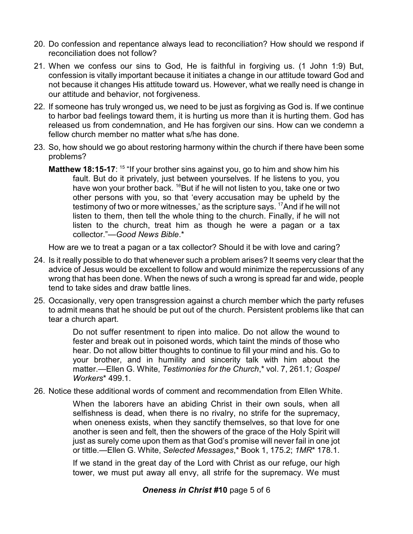- 20. Do confession and repentance always lead to reconciliation? How should we respond if reconciliation does not follow?
- 21. When we confess our sins to God, He is faithful in forgiving us. (1 John 1:9) But, confession is vitally important because it initiates a change in our attitude toward God and not because it changes His attitude toward us. However, what we really need is change in our attitude and behavior, not forgiveness.
- 22. If someone has truly wronged us, we need to be just as forgiving as God is. If we continue to harbor bad feelings toward them, it is hurting us more than it is hurting them. God has released us from condemnation, and He has forgiven our sins. How can we condemn a fellow church member no matter what s/he has done.
- 23. So, how should we go about restoring harmony within the church if there have been some problems?
	- **Matthew 18:15-17**: <sup>15</sup> "If your brother sins against you, go to him and show him his fault. But do it privately, just between yourselves. If he listens to you, you have won your brother back.  $^{16}$ But if he will not listen to you, take one or two other persons with you, so that 'every accusation may be upheld by the testimony of two or more witnesses,' as the scripture says. <sup>17</sup>And if he will not listen to them, then tell the whole thing to the church. Finally, if he will not listen to the church, treat him as though he were a pagan or a tax collector."—*Good News Bible*.\*

How are we to treat a pagan or a tax collector? Should it be with love and caring?

- 24. Is it really possible to do that whenever such a problem arises? It seems very clear that the advice of Jesus would be excellent to follow and would minimize the repercussions of any wrong that has been done. When the news of such a wrong is spread far and wide, people tend to take sides and draw battle lines.
- 25. Occasionally, very open transgression against a church member which the party refuses to admit means that he should be put out of the church. Persistent problems like that can tear a church apart.

Do not suffer resentment to ripen into malice. Do not allow the wound to fester and break out in poisoned words, which taint the minds of those who hear. Do not allow bitter thoughts to continue to fill your mind and his. Go to your brother, and in humility and sincerity talk with him about the matter.—Ellen G. White, *Testimonies for the Church*,\* vol. 7, 261.1*; Gospel Workers*\* 499.1.

26. Notice these additional words of comment and recommendation from Ellen White.

When the laborers have an abiding Christ in their own souls, when all selfishness is dead, when there is no rivalry, no strife for the supremacy, when oneness exists, when they sanctify themselves, so that love for one another is seen and felt, then the showers of the grace of the Holy Spirit will just as surely come upon them as that God's promise will never fail in one jot or tittle.—Ellen G. White, *Selected Messages*,\* Book 1, 175.2; *1MR*\* 178.1.

If we stand in the great day of the Lord with Christ as our refuge, our high tower, we must put away all envy, all strife for the supremacy. We must

## *Oneness in Christ #***10** page 5 of 6